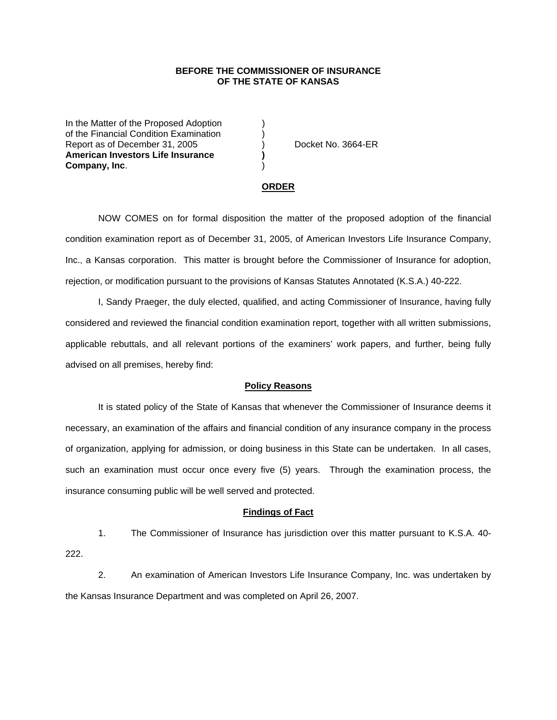## **BEFORE THE COMMISSIONER OF INSURANCE OF THE STATE OF KANSAS**

In the Matter of the Proposed Adoption of the Financial Condition Examination ) Report as of December 31, 2005 (and Separate No. 3664-ER **American Investors Life Insurance ) Company, Inc**. )

### **ORDER**

 NOW COMES on for formal disposition the matter of the proposed adoption of the financial condition examination report as of December 31, 2005, of American Investors Life Insurance Company, Inc., a Kansas corporation. This matter is brought before the Commissioner of Insurance for adoption, rejection, or modification pursuant to the provisions of Kansas Statutes Annotated (K.S.A.) 40-222.

 I, Sandy Praeger, the duly elected, qualified, and acting Commissioner of Insurance, having fully considered and reviewed the financial condition examination report, together with all written submissions, applicable rebuttals, and all relevant portions of the examiners' work papers, and further, being fully advised on all premises, hereby find:

#### **Policy Reasons**

 It is stated policy of the State of Kansas that whenever the Commissioner of Insurance deems it necessary, an examination of the affairs and financial condition of any insurance company in the process of organization, applying for admission, or doing business in this State can be undertaken. In all cases, such an examination must occur once every five (5) years. Through the examination process, the insurance consuming public will be well served and protected.

#### **Findings of Fact**

 1. The Commissioner of Insurance has jurisdiction over this matter pursuant to K.S.A. 40- 222.

 2. An examination of American Investors Life Insurance Company, Inc. was undertaken by the Kansas Insurance Department and was completed on April 26, 2007.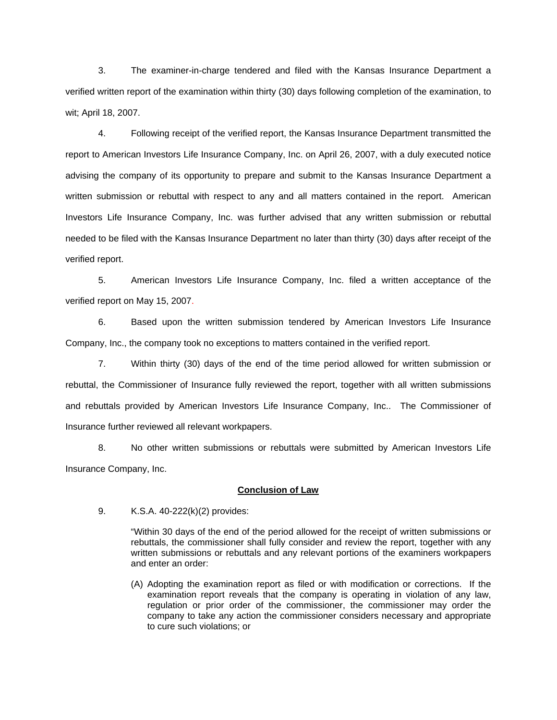3. The examiner-in-charge tendered and filed with the Kansas Insurance Department a verified written report of the examination within thirty (30) days following completion of the examination, to wit; April 18, 2007.

 4. Following receipt of the verified report, the Kansas Insurance Department transmitted the report to American Investors Life Insurance Company, Inc. on April 26, 2007, with a duly executed notice advising the company of its opportunity to prepare and submit to the Kansas Insurance Department a written submission or rebuttal with respect to any and all matters contained in the report. American Investors Life Insurance Company, Inc. was further advised that any written submission or rebuttal needed to be filed with the Kansas Insurance Department no later than thirty (30) days after receipt of the verified report.

 5. American Investors Life Insurance Company, Inc. filed a written acceptance of the verified report on May 15, 2007.

6. Based upon the written submission tendered by American Investors Life Insurance Company, Inc., the company took no exceptions to matters contained in the verified report.

 7. Within thirty (30) days of the end of the time period allowed for written submission or rebuttal, the Commissioner of Insurance fully reviewed the report, together with all written submissions and rebuttals provided by American Investors Life Insurance Company, Inc.. The Commissioner of Insurance further reviewed all relevant workpapers.

 8. No other written submissions or rebuttals were submitted by American Investors Life Insurance Company, Inc.

## **Conclusion of Law**

9. K.S.A. 40-222(k)(2) provides:

"Within 30 days of the end of the period allowed for the receipt of written submissions or rebuttals, the commissioner shall fully consider and review the report, together with any written submissions or rebuttals and any relevant portions of the examiners workpapers and enter an order:

(A) Adopting the examination report as filed or with modification or corrections. If the examination report reveals that the company is operating in violation of any law, regulation or prior order of the commissioner, the commissioner may order the company to take any action the commissioner considers necessary and appropriate to cure such violations; or